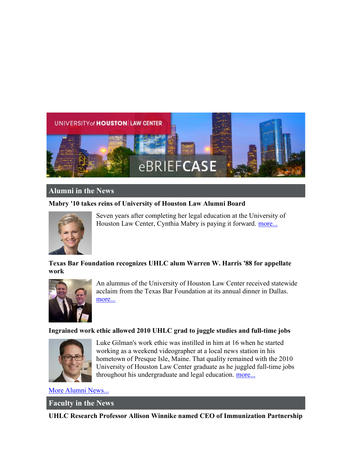

# Alumni in the News

## Mabry '10 takes reins of University of Houston Law Alumni Board



Seven years after completing her legal education at the University of Houston Law Center, Cynthia Mabry is paying it forward. more...

# Texas Bar Foundation recognizes UHLC alum Warren W. Harris '88 for appellate work



An alumnus of the University of Houston Law Center received statewide acclaim from the Texas Bar Foundation at its annual dinner in Dallas. more...

### Ingrained work ethic allowed 2010 UHLC grad to juggle studies and full-time jobs



Luke Gilman's work ethic was instilled in him at 16 when he started working as a weekend videographer at a local news station in his hometown of Presque Isle, Maine. That quality remained with the 2010 University of Houston Law Center graduate as he juggled full-time jobs throughout his undergraduate and legal education. more...

More Alumni News...

Faculty in the News

UHLC Research Professor Allison Winnike named CEO of Immunization Partnership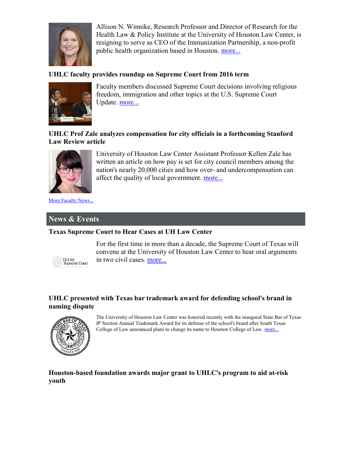

Allison N. Winnike, Research Professor and Director of Research for the Health Law & Policy Institute at the University of Houston Law Center, is resigning to serve as CEO of the Immunization Partnership, a non-profit public health organization based in Houston. more...

## UHLC faculty provides roundup on Supreme Court from 2016 term



Faculty members discussed Supreme Court decisions involving religious freedom, immigration and other topics at the U.S. Supreme Court Update. more...

### UHLC Prof Zale analyzes compensation for city officials in a forthcoming Stanford Law Review article



University of Houston Law Center Assistant Professor Kellen Zale has written an article on how pay is set for city council members among the nation's nearly 20,000 cities and how over- and undercompensation can affect the quality of local government. more...

More Faculty News...

# News & Events

### Texas Supreme Court to Hear Cases at UH Law Center



For the first time in more than a decade, the Supreme Court of Texas will convene at the University of Houston Law Center to hear oral arguments in two civil cases. more...

### UHLC presented with Texas bar trademark award for defending school's brand in naming dispute



The University of Houston Law Center was honored recently with the inaugural State Bar of Texas IP Section Annual Trademark Award for its defense of the school's brand after South Texas College of Law announced plans to change its name to Houston College of Law. more...

## Houston-based foundation awards major grant to UHLC's program to aid at-risk youth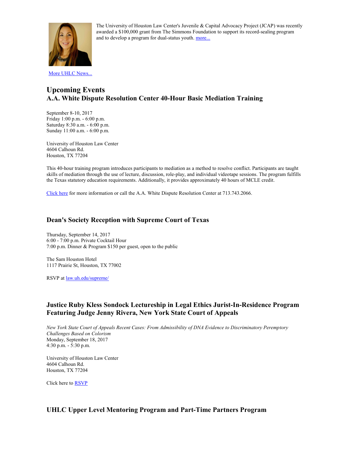

The University of Houston Law Center's Juvenile & Capital Advocacy Project (JCAP) was recently awarded a \$100,000 grant from The Simmons Foundation to support its record-sealing program and to develop a program for dual-status youth. more...

#### More UHLC News...

# Upcoming Events A.A. White Dispute Resolution Center 40-Hour Basic Mediation Training

September 8-10, 2017 Friday 1:00 p.m. - 6:00 p.m. Saturday 8:30 a.m. - 6:00 p.m. Sunday 11:00 a.m. - 6:00 p.m.

University of Houston Law Center 4604 Calhoun Rd. Houston, TX 77204

This 40-hour training program introduces participants to mediation as a method to resolve conflict. Participants are taught skills of mediation through the use of lecture, discussion, role-play, and individual videotape sessions. The program fulfills the Texas statutory education requirements. Additionally, it provides approximately 40 hours of MCLE credit.

Click here for more information or call the A.A. White Dispute Resolution Center at 713.743.2066.

#### Dean's Society Reception with Supreme Court of Texas

Thursday, September 14, 2017 6:00 - 7:00 p.m. Private Cocktail Hour 7:00 p.m. Dinner & Program \$150 per guest, open to the public

The Sam Houston Hotel 1117 Prairie St, Houston, TX 77002

RSVP at law.uh.edu/supreme/

#### Justice Ruby Kless Sondock Lectureship in Legal Ethics Jurist-In-Residence Program Featuring Judge Jenny Rivera, New York State Court of Appeals

New York State Court of Appeals Recent Cases: From Admissibility of DNA Evidence to Discriminatory Peremptory Challenges Based on Colorism Monday, September 18, 2017 4:30 p.m. - 5:30 p.m.

University of Houston Law Center 4604 Calhoun Rd. Houston, TX 77204

Click here to RSVP

### UHLC Upper Level Mentoring Program and Part-Time Partners Program